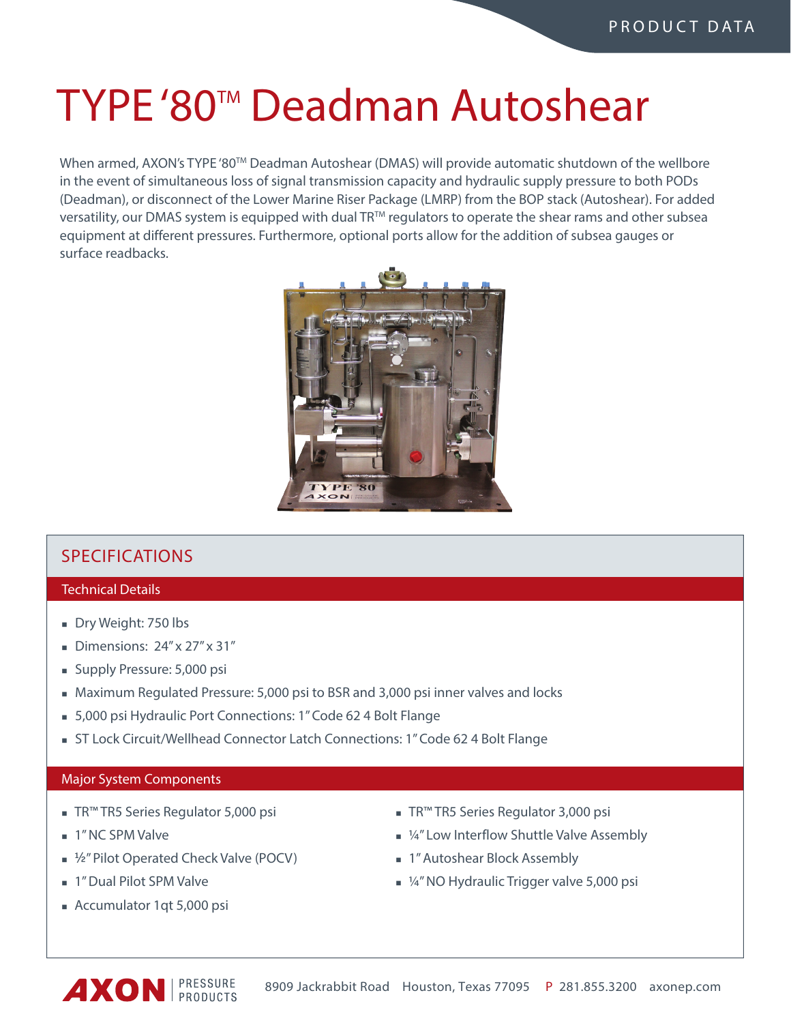# TYPE '80<sup>™</sup> Deadman Autoshear

When armed, AXON's TYPE '80™ Deadman Autoshear (DMAS) will provide automatic shutdown of the wellbore in the event of simultaneous loss of signal transmission capacity and hydraulic supply pressure to both PODs (Deadman), or disconnect of the Lower Marine Riser Package (LMRP) from the BOP stack (Autoshear). For added versatility, our DMAS system is equipped with dual TR™ regulators to operate the shear rams and other subsea equipment at different pressures. Furthermore, optional ports allow for the addition of subsea gauges or surface readbacks.



## **SPECIFICATIONS**

### Technical Details

- Dry Weight: 750 lbs
- Dimensions:  $24'' \times 27'' \times 31''$
- Supply Pressure: 5,000 psi
- Maximum Regulated Pressure: 5,000 psi to BSR and 3,000 psi inner valves and locks
- 5,000 psi Hydraulic Port Connections: 1" Code 62 4 Bolt Flange
- If  $S$ T Lock Circuit/Wellhead Connector Latch Connections: 1" Code 62 4 Bolt Flange

### Major System Components

- TR™ TR5 Series Regulator 5,000 psi
- **1** 1" NC SPM Valve
- ½" Pilot Operated Check Valve (POCV)
- **n** 1" Dual Pilot SPM Valve
- <sup>n</sup> Accumulator 1qt 5,000 psi
- TR™ TR5 Series Regulator 3,000 psi
- $\blacksquare$  ¼" Low Interflow Shuttle Valve Assembly
- **n** 1" Autoshear Block Assembly
- $\blacksquare$  ¼" NO Hydraulic Trigger valve 5,000 psi